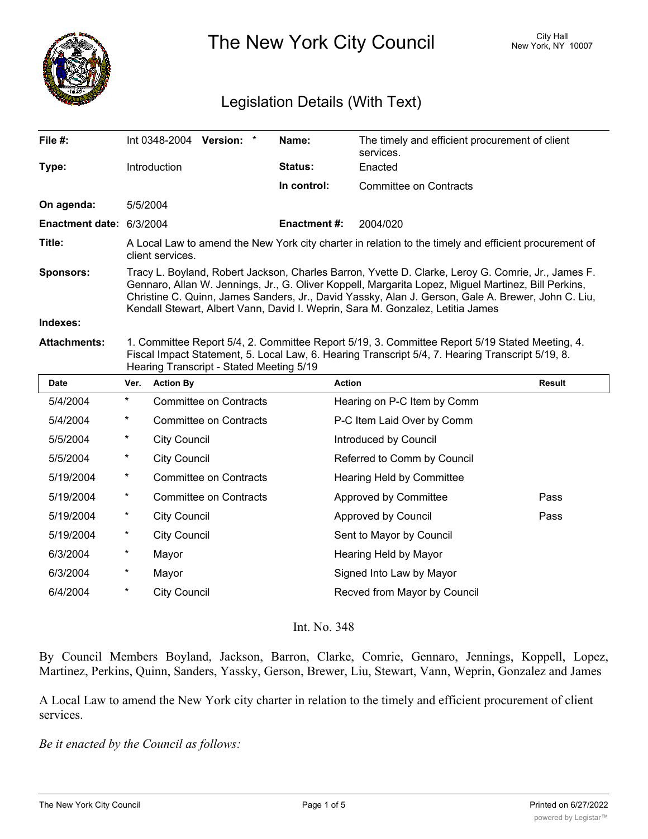

The New York City Council New York, NY 10007

## Legislation Details (With Text)

| File $#$ :               |                                                                                                                                                                                                                                                                                                                                                                                                   |                     | Int 0348-2004 Version: *      |  | Name:               | The timely and efficient procurement of client<br>services. |               |
|--------------------------|---------------------------------------------------------------------------------------------------------------------------------------------------------------------------------------------------------------------------------------------------------------------------------------------------------------------------------------------------------------------------------------------------|---------------------|-------------------------------|--|---------------------|-------------------------------------------------------------|---------------|
| Type:                    |                                                                                                                                                                                                                                                                                                                                                                                                   | Introduction        |                               |  | Status:             | Enacted                                                     |               |
|                          |                                                                                                                                                                                                                                                                                                                                                                                                   |                     |                               |  | In control:         | Committee on Contracts                                      |               |
| On agenda:               | 5/5/2004                                                                                                                                                                                                                                                                                                                                                                                          |                     |                               |  |                     |                                                             |               |
| Enactment date: 6/3/2004 |                                                                                                                                                                                                                                                                                                                                                                                                   |                     |                               |  | <b>Enactment #:</b> | 2004/020                                                    |               |
| Title:                   | A Local Law to amend the New York city charter in relation to the timely and efficient procurement of<br>client services.                                                                                                                                                                                                                                                                         |                     |                               |  |                     |                                                             |               |
| <b>Sponsors:</b>         | Tracy L. Boyland, Robert Jackson, Charles Barron, Yvette D. Clarke, Leroy G. Comrie, Jr., James F.<br>Gennaro, Allan W. Jennings, Jr., G. Oliver Koppell, Margarita Lopez, Miguel Martinez, Bill Perkins,<br>Christine C. Quinn, James Sanders, Jr., David Yassky, Alan J. Gerson, Gale A. Brewer, John C. Liu,<br>Kendall Stewart, Albert Vann, David I. Weprin, Sara M. Gonzalez, Letitia James |                     |                               |  |                     |                                                             |               |
| Indexes:                 |                                                                                                                                                                                                                                                                                                                                                                                                   |                     |                               |  |                     |                                                             |               |
| <b>Attachments:</b>      | 1. Committee Report 5/4, 2. Committee Report 5/19, 3. Committee Report 5/19 Stated Meeting, 4.<br>Fiscal Impact Statement, 5. Local Law, 6. Hearing Transcript 5/4, 7. Hearing Transcript 5/19, 8.<br>Hearing Transcript - Stated Meeting 5/19                                                                                                                                                    |                     |                               |  |                     |                                                             |               |
| <b>Date</b>              | Ver.                                                                                                                                                                                                                                                                                                                                                                                              | <b>Action By</b>    |                               |  | <b>Action</b>       |                                                             | <b>Result</b> |
| 5/4/2004                 | $\star$                                                                                                                                                                                                                                                                                                                                                                                           |                     | <b>Committee on Contracts</b> |  |                     | Hearing on P-C Item by Comm                                 |               |
| 5/4/2004                 | *                                                                                                                                                                                                                                                                                                                                                                                                 |                     | <b>Committee on Contracts</b> |  |                     | P-C Item Laid Over by Comm                                  |               |
| 5/5/2004                 | *                                                                                                                                                                                                                                                                                                                                                                                                 | <b>City Council</b> |                               |  |                     | Introduced by Council                                       |               |
| 5/5/2004                 | *                                                                                                                                                                                                                                                                                                                                                                                                 | <b>City Council</b> |                               |  |                     | Referred to Comm by Council                                 |               |
| 5/19/2004                | $^\star$                                                                                                                                                                                                                                                                                                                                                                                          |                     | <b>Committee on Contracts</b> |  |                     | <b>Hearing Held by Committee</b>                            |               |
| 5/19/2004                | $^\star$                                                                                                                                                                                                                                                                                                                                                                                          |                     | <b>Committee on Contracts</b> |  |                     | Approved by Committee                                       | Pass          |
| 5/19/2004                | *                                                                                                                                                                                                                                                                                                                                                                                                 | <b>City Council</b> |                               |  |                     |                                                             |               |
|                          |                                                                                                                                                                                                                                                                                                                                                                                                   |                     |                               |  |                     | Approved by Council                                         | Pass          |

6/3/2004 \* Mayor Mayor Hearing Held by Mayor 6/3/2004 \* Mayor **Signed Into Law by Mayor** 6/4/2004 \* City Council Recved from Mayor by Council

Int. No. 348

By Council Members Boyland, Jackson, Barron, Clarke, Comrie, Gennaro, Jennings, Koppell, Lopez, Martinez, Perkins, Quinn, Sanders, Yassky, Gerson, Brewer, Liu, Stewart, Vann, Weprin, Gonzalez and James

A Local Law to amend the New York city charter in relation to the timely and efficient procurement of client services.

*Be it enacted by the Council as follows:*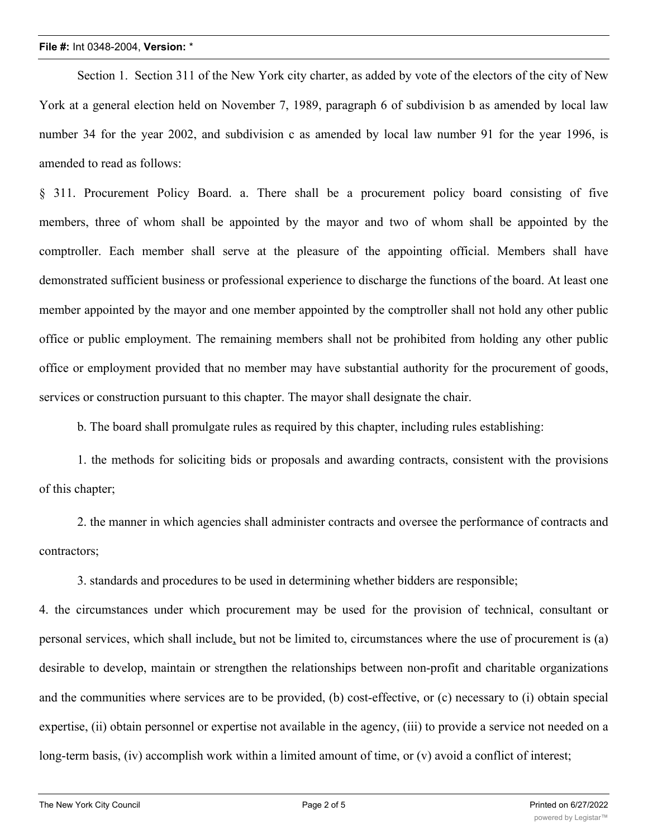## **File #:** Int 0348-2004, **Version:** \*

Section 1. Section 311 of the New York city charter, as added by vote of the electors of the city of New York at a general election held on November 7, 1989, paragraph 6 of subdivision b as amended by local law number 34 for the year 2002, and subdivision c as amended by local law number 91 for the year 1996, is amended to read as follows:

§ 311. Procurement Policy Board. a. There shall be a procurement policy board consisting of five members, three of whom shall be appointed by the mayor and two of whom shall be appointed by the comptroller. Each member shall serve at the pleasure of the appointing official. Members shall have demonstrated sufficient business or professional experience to discharge the functions of the board. At least one member appointed by the mayor and one member appointed by the comptroller shall not hold any other public office or public employment. The remaining members shall not be prohibited from holding any other public office or employment provided that no member may have substantial authority for the procurement of goods, services or construction pursuant to this chapter. The mayor shall designate the chair.

b. The board shall promulgate rules as required by this chapter, including rules establishing:

1. the methods for soliciting bids or proposals and awarding contracts, consistent with the provisions of this chapter;

2. the manner in which agencies shall administer contracts and oversee the performance of contracts and contractors;

3. standards and procedures to be used in determining whether bidders are responsible;

4. the circumstances under which procurement may be used for the provision of technical, consultant or personal services, which shall include, but not be limited to, circumstances where the use of procurement is (a) desirable to develop, maintain or strengthen the relationships between non-profit and charitable organizations and the communities where services are to be provided, (b) cost-effective, or (c) necessary to (i) obtain special expertise, (ii) obtain personnel or expertise not available in the agency, (iii) to provide a service not needed on a long-term basis, (iv) accomplish work within a limited amount of time, or (v) avoid a conflict of interest;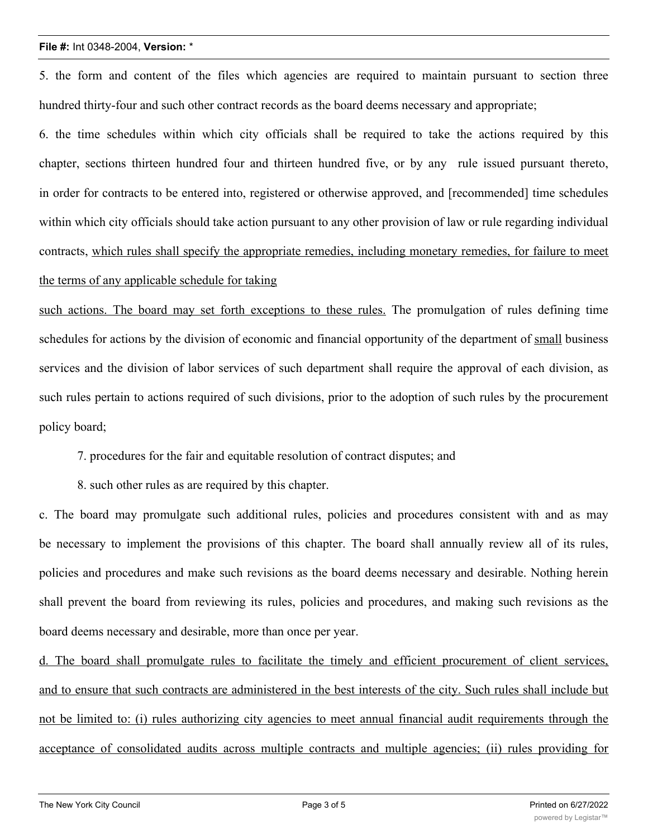## **File #:** Int 0348-2004, **Version:** \*

5. the form and content of the files which agencies are required to maintain pursuant to section three hundred thirty-four and such other contract records as the board deems necessary and appropriate;

6. the time schedules within which city officials shall be required to take the actions required by this chapter, sections thirteen hundred four and thirteen hundred five, or by any rule issued pursuant thereto, in order for contracts to be entered into, registered or otherwise approved, and [recommended] time schedules within which city officials should take action pursuant to any other provision of law or rule regarding individual contracts, which rules shall specify the appropriate remedies, including monetary remedies, for failure to meet the terms of any applicable schedule for taking

such actions. The board may set forth exceptions to these rules. The promulgation of rules defining time schedules for actions by the division of economic and financial opportunity of the department of small business services and the division of labor services of such department shall require the approval of each division, as such rules pertain to actions required of such divisions, prior to the adoption of such rules by the procurement policy board;

7. procedures for the fair and equitable resolution of contract disputes; and

8. such other rules as are required by this chapter.

c. The board may promulgate such additional rules, policies and procedures consistent with and as may be necessary to implement the provisions of this chapter. The board shall annually review all of its rules, policies and procedures and make such revisions as the board deems necessary and desirable. Nothing herein shall prevent the board from reviewing its rules, policies and procedures, and making such revisions as the board deems necessary and desirable, more than once per year.

d. The board shall promulgate rules to facilitate the timely and efficient procurement of client services, and to ensure that such contracts are administered in the best interests of the city. Such rules shall include but not be limited to: (i) rules authorizing city agencies to meet annual financial audit requirements through the acceptance of consolidated audits across multiple contracts and multiple agencies; (ii) rules providing for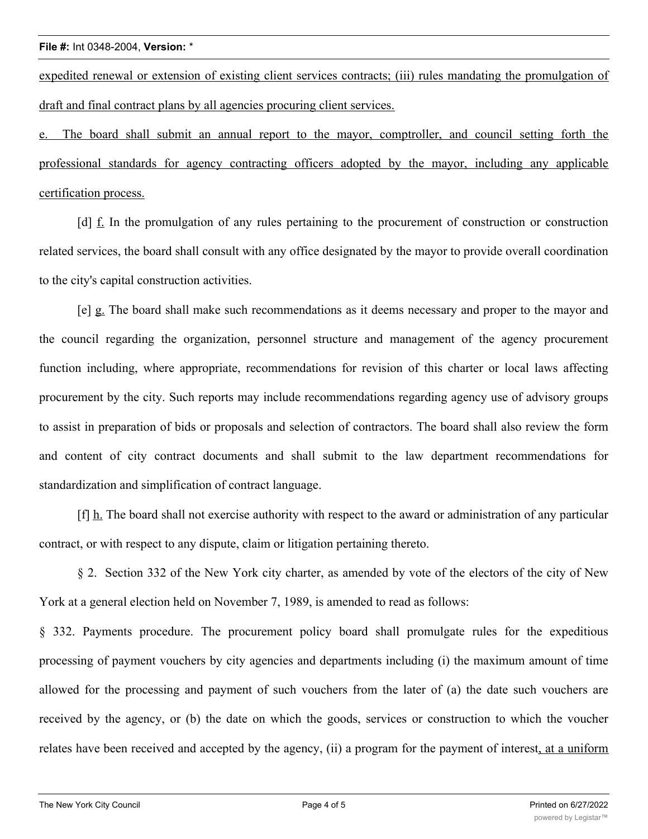expedited renewal or extension of existing client services contracts; (iii) rules mandating the promulgation of draft and final contract plans by all agencies procuring client services.

e. The board shall submit an annual report to the mayor, comptroller, and council setting forth the professional standards for agency contracting officers adopted by the mayor, including any applicable certification process.

[d] f. In the promulgation of any rules pertaining to the procurement of construction or construction related services, the board shall consult with any office designated by the mayor to provide overall coordination to the city's capital construction activities.

[e] g. The board shall make such recommendations as it deems necessary and proper to the mayor and the council regarding the organization, personnel structure and management of the agency procurement function including, where appropriate, recommendations for revision of this charter or local laws affecting procurement by the city. Such reports may include recommendations regarding agency use of advisory groups to assist in preparation of bids or proposals and selection of contractors. The board shall also review the form and content of city contract documents and shall submit to the law department recommendations for standardization and simplification of contract language.

[f] h. The board shall not exercise authority with respect to the award or administration of any particular contract, or with respect to any dispute, claim or litigation pertaining thereto.

§ 2. Section 332 of the New York city charter, as amended by vote of the electors of the city of New York at a general election held on November 7, 1989, is amended to read as follows:

§ 332. Payments procedure. The procurement policy board shall promulgate rules for the expeditious processing of payment vouchers by city agencies and departments including (i) the maximum amount of time allowed for the processing and payment of such vouchers from the later of (a) the date such vouchers are received by the agency, or (b) the date on which the goods, services or construction to which the voucher relates have been received and accepted by the agency, (ii) a program for the payment of interest, at a uniform